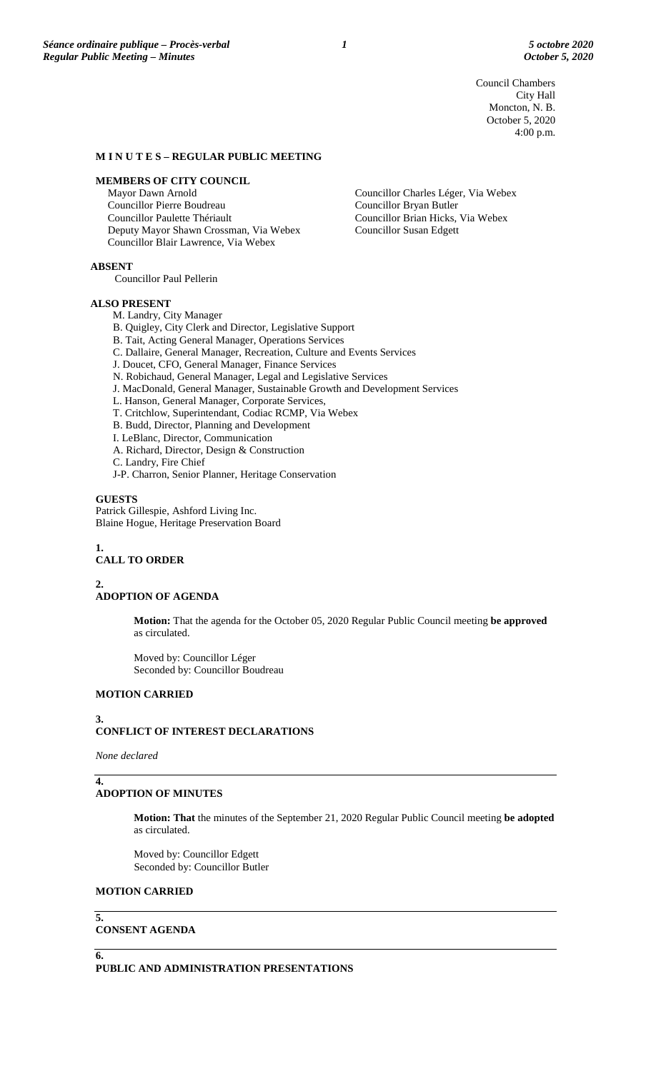Council Chambers City Hall Moncton, N. B. October 5, 2020 4:00 p.m.

### **M I N U T E S – REGULAR PUBLIC MEETING**

### **MEMBERS OF CITY COUNCIL**

Mayor Dawn Arnold Councillor Pierre Boudreau Councillor Paulette Thériault Deputy Mayor Shawn Crossman, Via Webex Councillor Blair Lawrence, Via Webex

Councillor Charles Léger, Via Webex Councillor Bryan Butler Councillor Brian Hicks, Via Webex Councillor Susan Edgett

**ABSENT**

Councillor Paul Pellerin

#### **ALSO PRESENT**

M. Landry, City Manager B. Quigley, City Clerk and Director, Legislative Support B. Tait, Acting General Manager, Operations Services C. Dallaire, General Manager, Recreation, Culture and Events Services J. Doucet, CFO, General Manager, Finance Services N. Robichaud, General Manager, Legal and Legislative Services J. MacDonald, General Manager, Sustainable Growth and Development Services L. Hanson, General Manager, Corporate Services, T. Critchlow, Superintendant, Codiac RCMP, Via Webex B. Budd, Director, Planning and Development I. LeBlanc, Director, Communication A. Richard, Director, Design & Construction C. Landry, Fire Chief J-P. Charron, Senior Planner, Heritage Conservation

**GUESTS** Patrick Gillespie, Ashford Living Inc. Blaine Hogue, Heritage Preservation Board

#### **1. CALL TO ORDER**

**2.**

# **ADOPTION OF AGENDA**

**Motion:** That the agenda for the October 05, 2020 Regular Public Council meeting **be approved** as circulated.

Moved by: Councillor Léger Seconded by: Councillor Boudreau

# **MOTION CARRIED**

# **3.**

# **CONFLICT OF INTEREST DECLARATIONS**

*None declared*

### **4. ADOPTION OF MINUTES**

**Motion: That** the minutes of the September 21, 2020 Regular Public Council meeting **be adopted** as circulated.

Moved by: Councillor Edgett Seconded by: Councillor Butler

### **MOTION CARRIED**

### **5. CONSENT AGENDA**

**6.**

**PUBLIC AND ADMINISTRATION PRESENTATIONS**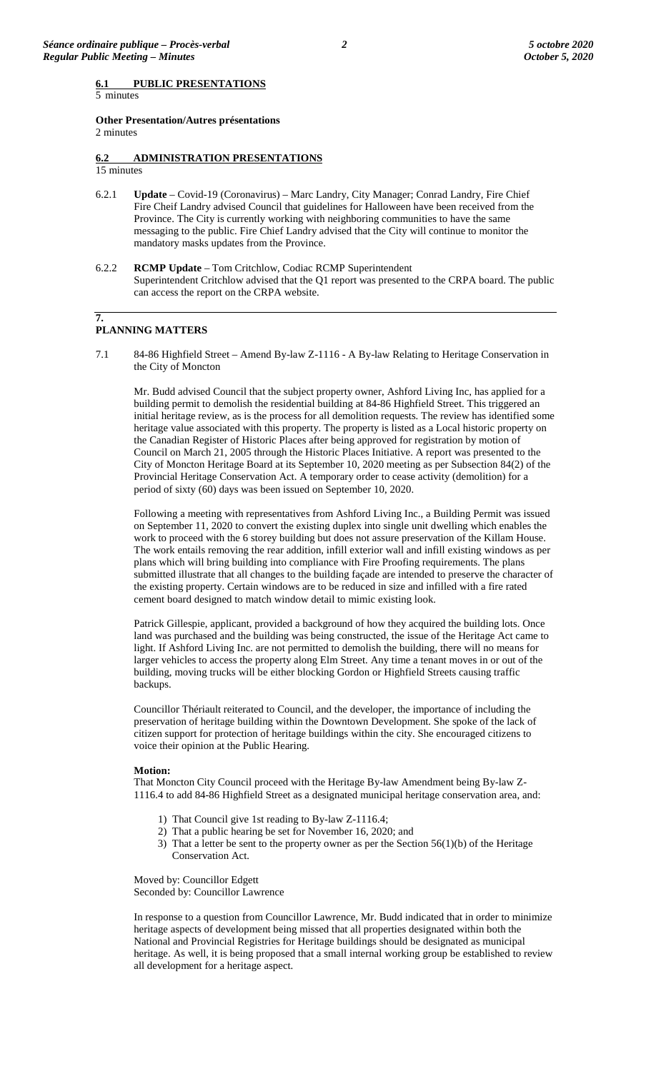5 minutes

**Other Presentation/Autres présentations**  2 minutes

# **6.2 ADMINISTRATION PRESENTATIONS**

- 15 minutes
- 6.2.1 **Update** Covid-19 (Coronavirus) Marc Landry, City Manager; Conrad Landry, Fire Chief Fire Cheif Landry advised Council that guidelines for Halloween have been received from the Province. The City is currently working with neighboring communities to have the same messaging to the public. Fire Chief Landry advised that the City will continue to monitor the mandatory masks updates from the Province.
- 6.2.2 **RCMP Update**  Tom Critchlow, Codiac RCMP Superintendent Superintendent Critchlow advised that the Q1 report was presented to the CRPA board. The public can access the report on the CRPA website.

### **7. PLANNING MATTERS**

7.1 84-86 Highfield Street – Amend By-law Z-1116 - A By-law Relating to Heritage Conservation in the City of Moncton

Mr. Budd advised Council that the subject property owner, Ashford Living Inc, has applied for a building permit to demolish the residential building at 84-86 Highfield Street. This triggered an initial heritage review, as is the process for all demolition requests. The review has identified some heritage value associated with this property. The property is listed as a Local historic property on the Canadian Register of Historic Places after being approved for registration by motion of Council on March 21, 2005 through the Historic Places Initiative. A report was presented to the City of Moncton Heritage Board at its September 10, 2020 meeting as per Subsection 84(2) of the Provincial Heritage Conservation Act. A temporary order to cease activity (demolition) for a period of sixty (60) days was been issued on September 10, 2020.

Following a meeting with representatives from Ashford Living Inc., a Building Permit was issued on September 11, 2020 to convert the existing duplex into single unit dwelling which enables the work to proceed with the 6 storey building but does not assure preservation of the Killam House. The work entails removing the rear addition, infill exterior wall and infill existing windows as per plans which will bring building into compliance with Fire Proofing requirements. The plans submitted illustrate that all changes to the building façade are intended to preserve the character of the existing property. Certain windows are to be reduced in size and infilled with a fire rated cement board designed to match window detail to mimic existing look.

Patrick Gillespie, applicant, provided a background of how they acquired the building lots. Once land was purchased and the building was being constructed, the issue of the Heritage Act came to light. If Ashford Living Inc. are not permitted to demolish the building, there will no means for larger vehicles to access the property along Elm Street. Any time a tenant moves in or out of the building, moving trucks will be either blocking Gordon or Highfield Streets causing traffic backups.

Councillor Thériault reiterated to Council, and the developer, the importance of including the preservation of heritage building within the Downtown Development. She spoke of the lack of citizen support for protection of heritage buildings within the city. She encouraged citizens to voice their opinion at the Public Hearing.

#### **Motion:**

That Moncton City Council proceed with the Heritage By-law Amendment being By-law Z-1116.4 to add 84-86 Highfield Street as a designated municipal heritage conservation area, and:

- 1) That Council give 1st reading to By-law Z-1116.4;
- 2) That a public hearing be set for November 16, 2020; and
- 3) That a letter be sent to the property owner as per the Section 56(1)(b) of the Heritage Conservation Act.

Moved by: Councillor Edgett Seconded by: Councillor Lawrence

In response to a question from Councillor Lawrence, Mr. Budd indicated that in order to minimize heritage aspects of development being missed that all properties designated within both the National and Provincial Registries for Heritage buildings should be designated as municipal heritage. As well, it is being proposed that a small internal working group be established to review all development for a heritage aspect.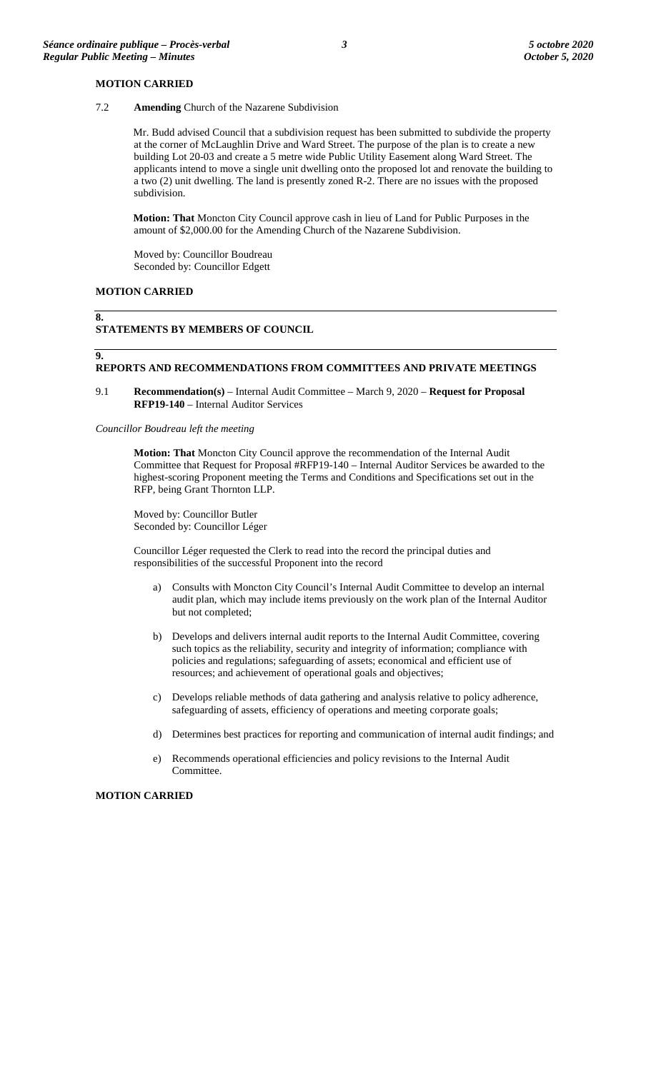### **MOTION CARRIED**

7.2 **Amending** Church of the Nazarene Subdivision

Mr. Budd advised Council that a subdivision request has been submitted to subdivide the property at the corner of McLaughlin Drive and Ward Street. The purpose of the plan is to create a new building Lot 20-03 and create a 5 metre wide Public Utility Easement along Ward Street. The applicants intend to move a single unit dwelling onto the proposed lot and renovate the building to a two (2) unit dwelling. The land is presently zoned R-2. There are no issues with the proposed subdivision.

**Motion: That** Moncton City Council approve cash in lieu of Land for Public Purposes in the amount of \$2,000.00 for the Amending Church of the Nazarene Subdivision.

Moved by: Councillor Boudreau Seconded by: Councillor Edgett

# **MOTION CARRIED**

# **8.**

**9.**

# **STATEMENTS BY MEMBERS OF COUNCIL**

### **REPORTS AND RECOMMENDATIONS FROM COMMITTEES AND PRIVATE MEETINGS**

9.1 **Recommendation(s)** – Internal Audit Committee – March 9, 2020 – **Request for Proposal RFP19-140** – Internal Auditor Services

#### *Councillor Boudreau left the meeting*

**Motion: That** Moncton City Council approve the recommendation of the Internal Audit Committee that Request for Proposal #RFP19-140 – Internal Auditor Services be awarded to the highest-scoring Proponent meeting the Terms and Conditions and Specifications set out in the RFP, being Grant Thornton LLP.

Moved by: Councillor Butler Seconded by: Councillor Léger

Councillor Léger requested the Clerk to read into the record the principal duties and responsibilities of the successful Proponent into the record

- a) Consults with Moncton City Council's Internal Audit Committee to develop an internal audit plan, which may include items previously on the work plan of the Internal Auditor but not completed;
- b) Develops and delivers internal audit reports to the Internal Audit Committee, covering such topics as the reliability, security and integrity of information; compliance with policies and regulations; safeguarding of assets; economical and efficient use of resources; and achievement of operational goals and objectives;
- c) Develops reliable methods of data gathering and analysis relative to policy adherence, safeguarding of assets, efficiency of operations and meeting corporate goals;
- d) Determines best practices for reporting and communication of internal audit findings; and
- e) Recommends operational efficiencies and policy revisions to the Internal Audit Committee.

#### **MOTION CARRIED**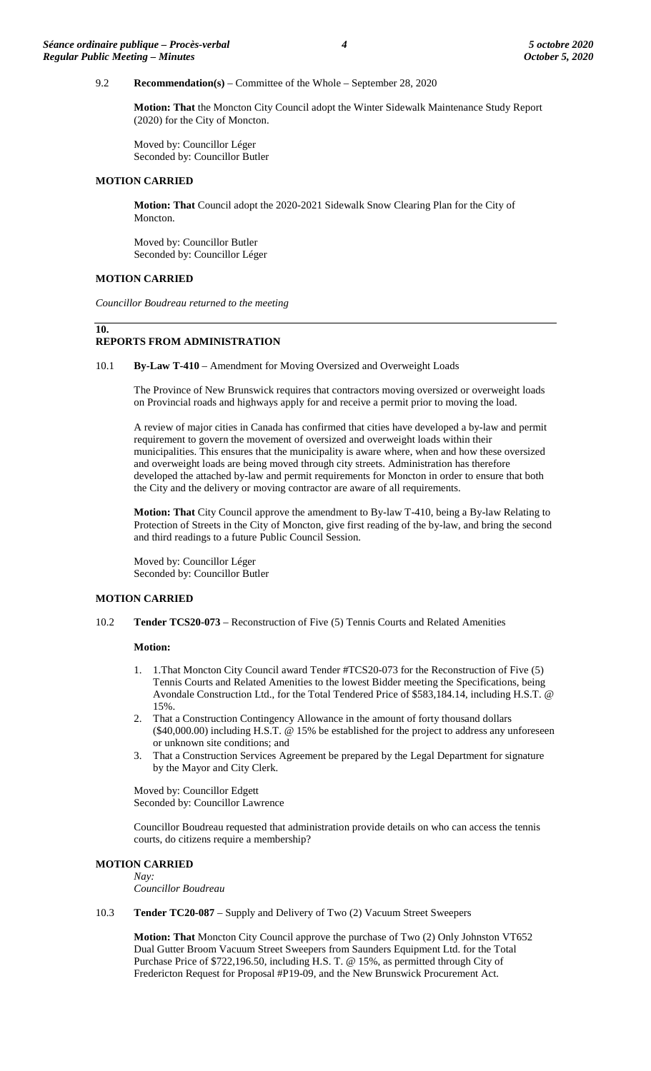# 9.2 **Recommendation(s)** – Committee of the Whole – September 28, 2020

**Motion: That** the Moncton City Council adopt the Winter Sidewalk Maintenance Study Report (2020) for the City of Moncton.

Moved by: Councillor Léger Seconded by: Councillor Butler

### **MOTION CARRIED**

**Motion: That** Council adopt the 2020-2021 Sidewalk Snow Clearing Plan for the City of Moncton.

Moved by: Councillor Butler Seconded by: Councillor Léger

# **MOTION CARRIED**

*Councillor Boudreau returned to the meeting*

# **10.**

### **REPORTS FROM ADMINISTRATION**

10.1 **By-Law T-410** – Amendment for Moving Oversized and Overweight Loads

The Province of New Brunswick requires that contractors moving oversized or overweight loads on Provincial roads and highways apply for and receive a permit prior to moving the load.

A review of major cities in Canada has confirmed that cities have developed a by-law and permit requirement to govern the movement of oversized and overweight loads within their municipalities. This ensures that the municipality is aware where, when and how these oversized and overweight loads are being moved through city streets. Administration has therefore developed the attached by-law and permit requirements for Moncton in order to ensure that both the City and the delivery or moving contractor are aware of all requirements.

**Motion: That** City Council approve the amendment to By-law T-410, being a By-law Relating to Protection of Streets in the City of Moncton, give first reading of the by-law, and bring the second and third readings to a future Public Council Session.

Moved by: Councillor Léger Seconded by: Councillor Butler

### **MOTION CARRIED**

10.2 **Tender TCS20-073** – Reconstruction of Five (5) Tennis Courts and Related Amenities

#### **Motion:**

- 1. 1.That Moncton City Council award Tender #TCS20-073 for the Reconstruction of Five (5) Tennis Courts and Related Amenities to the lowest Bidder meeting the Specifications, being Avondale Construction Ltd., for the Total Tendered Price of \$583,184.14, including H.S.T. @ 15%.
- 2. That a Construction Contingency Allowance in the amount of forty thousand dollars (\$40,000.00) including H.S.T. @ 15% be established for the project to address any unforeseen or unknown site conditions; and
- 3. That a Construction Services Agreement be prepared by the Legal Department for signature by the Mayor and City Clerk.

Moved by: Councillor Edgett Seconded by: Councillor Lawrence

Councillor Boudreau requested that administration provide details on who can access the tennis courts, do citizens require a membership?

#### **MOTION CARRIED** *Nay:*

*Councillor Boudreau*

10.3 **Tender TC20-087** – Supply and Delivery of Two (2) Vacuum Street Sweepers

**Motion: That** Moncton City Council approve the purchase of Two (2) Only Johnston VT652 Dual Gutter Broom Vacuum Street Sweepers from Saunders Equipment Ltd. for the Total Purchase Price of \$722,196.50, including H.S. T. @ 15%, as permitted through City of Fredericton Request for Proposal #P19-09, and the New Brunswick Procurement Act.